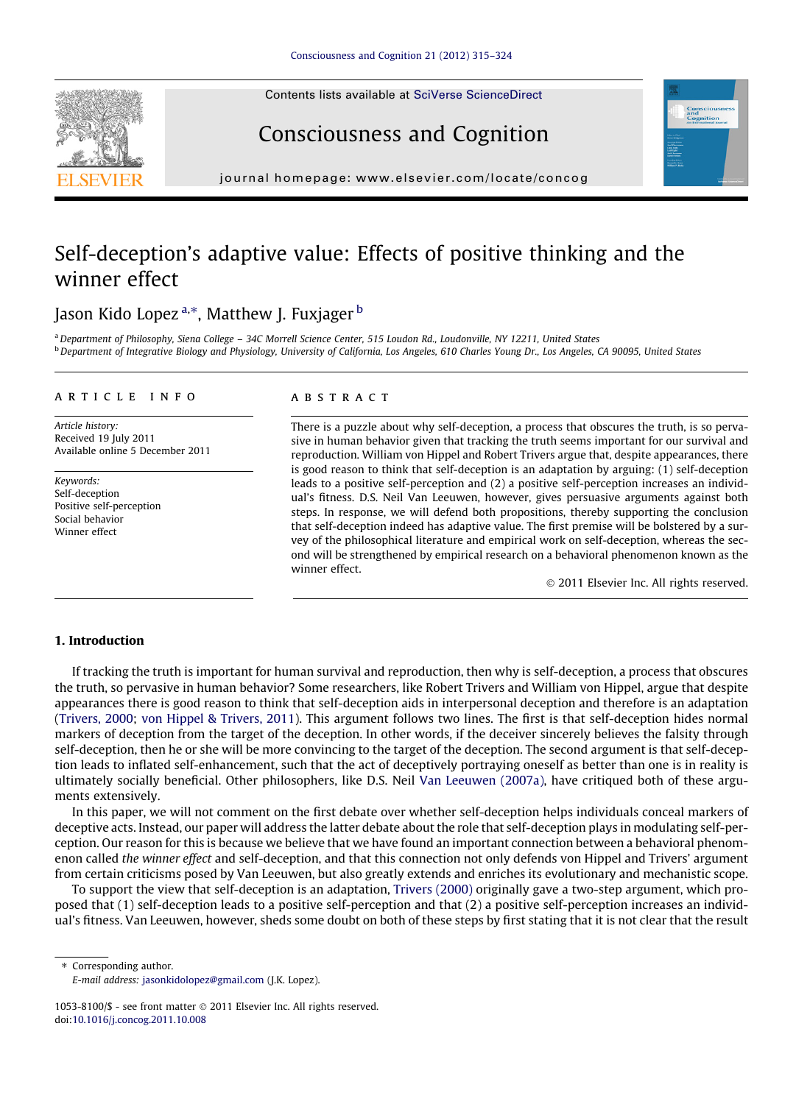Contents lists available at [SciVerse ScienceDirect](http://www.sciencedirect.com/science/journal/10538100)





### Consciousness and Cognition

journal homepage: [www.elsevier.com/locate/concog](http://www.elsevier.com/locate/concog)

## Self-deception's adaptive value: Effects of positive thinking and the winner effect

Jason Kido Lopez <sup>a,</sup>\*, Matthew J. Fuxjager <sup>b</sup>

a Department of Philosophy, Siena College - 34C Morrell Science Center, 515 Loudon Rd., Loudonville, NY 12211, United States **b** Department of Integrative Biology and Physiology, University of California, Los Angeles, 610 Charles Young Dr., Los Angeles, CA 90095, United States

#### article info

Article history: Received 19 July 2011 Available online 5 December 2011

Keywords: Self-deception Positive self-perception Social behavior Winner effect

#### **ABSTRACT**

There is a puzzle about why self-deception, a process that obscures the truth, is so pervasive in human behavior given that tracking the truth seems important for our survival and reproduction. William von Hippel and Robert Trivers argue that, despite appearances, there is good reason to think that self-deception is an adaptation by arguing: (1) self-deception leads to a positive self-perception and (2) a positive self-perception increases an individual's fitness. D.S. Neil Van Leeuwen, however, gives persuasive arguments against both steps. In response, we will defend both propositions, thereby supporting the conclusion that self-deception indeed has adaptive value. The first premise will be bolstered by a survey of the philosophical literature and empirical work on self-deception, whereas the second will be strengthened by empirical research on a behavioral phenomenon known as the winner effect.

- 2011 Elsevier Inc. All rights reserved.

#### 1. Introduction

If tracking the truth is important for human survival and reproduction, then why is self-deception, a process that obscures the truth, so pervasive in human behavior? Some researchers, like Robert Trivers and William von Hippel, argue that despite appearances there is good reason to think that self-deception aids in interpersonal deception and therefore is an adaptation ([Trivers, 2000](#page--1-0); [von Hippel & Trivers, 2011](#page--1-0)). This argument follows two lines. The first is that self-deception hides normal markers of deception from the target of the deception. In other words, if the deceiver sincerely believes the falsity through self-deception, then he or she will be more convincing to the target of the deception. The second argument is that self-deception leads to inflated self-enhancement, such that the act of deceptively portraying oneself as better than one is in reality is ultimately socially beneficial. Other philosophers, like D.S. Neil [Van Leeuwen \(2007a\),](#page--1-0) have critiqued both of these arguments extensively.

In this paper, we will not comment on the first debate over whether self-deception helps individuals conceal markers of deceptive acts. Instead, our paper will address the latter debate about the role that self-deception plays in modulating self-perception. Our reason for this is because we believe that we have found an important connection between a behavioral phenomenon called the winner effect and self-deception, and that this connection not only defends von Hippel and Trivers' argument from certain criticisms posed by Van Leeuwen, but also greatly extends and enriches its evolutionary and mechanistic scope.

To support the view that self-deception is an adaptation, [Trivers \(2000\)](#page--1-0) originally gave a two-step argument, which proposed that (1) self-deception leads to a positive self-perception and that (2) a positive self-perception increases an individual's fitness. Van Leeuwen, however, sheds some doubt on both of these steps by first stating that it is not clear that the result

⇑ Corresponding author. E-mail address: [jasonkidolopez@gmail.com](mailto:jasonkidolopez@gmail.com) (J.K. Lopez).

 $1053-8100$ /\$ - see front matter  $\odot$  2011 Elsevier Inc. All rights reserved. doi:[10.1016/j.concog.2011.10.008](http://dx.doi.org/10.1016/j.concog.2011.10.008)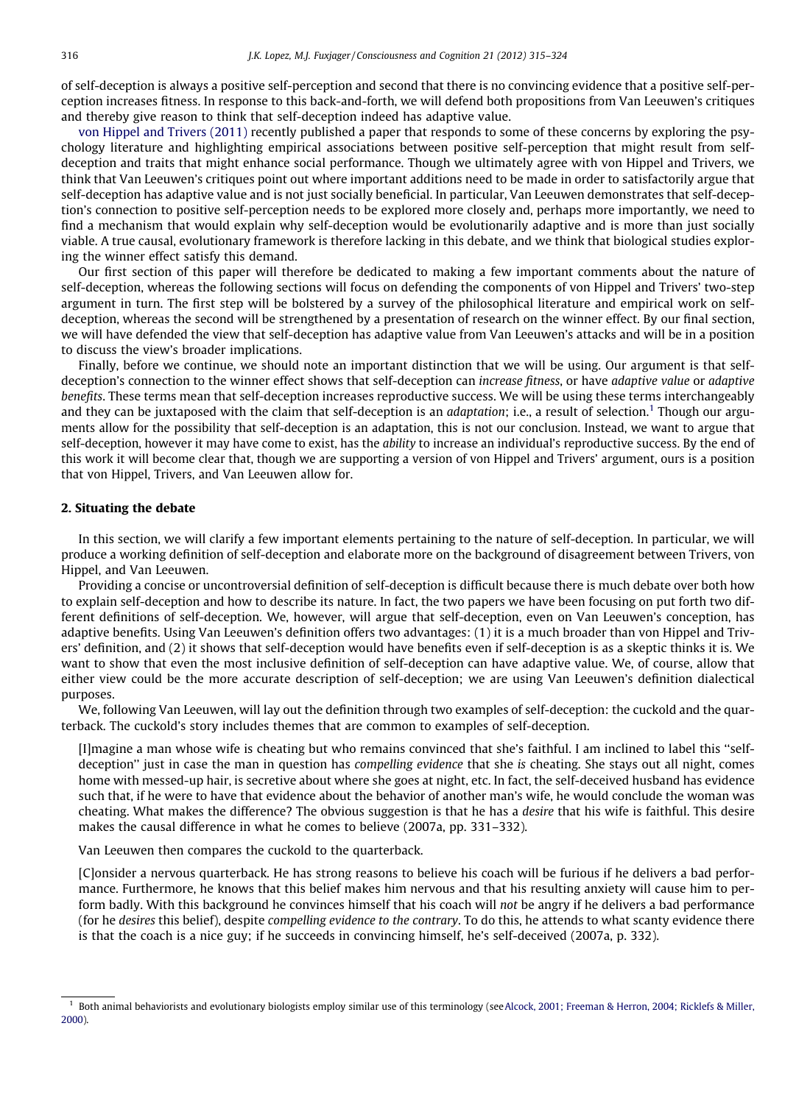of self-deception is always a positive self-perception and second that there is no convincing evidence that a positive self-perception increases fitness. In response to this back-and-forth, we will defend both propositions from Van Leeuwen's critiques and thereby give reason to think that self-deception indeed has adaptive value.

[von Hippel and Trivers \(2011\)](#page--1-0) recently published a paper that responds to some of these concerns by exploring the psychology literature and highlighting empirical associations between positive self-perception that might result from selfdeception and traits that might enhance social performance. Though we ultimately agree with von Hippel and Trivers, we think that Van Leeuwen's critiques point out where important additions need to be made in order to satisfactorily argue that self-deception has adaptive value and is not just socially beneficial. In particular, Van Leeuwen demonstrates that self-deception's connection to positive self-perception needs to be explored more closely and, perhaps more importantly, we need to find a mechanism that would explain why self-deception would be evolutionarily adaptive and is more than just socially viable. A true causal, evolutionary framework is therefore lacking in this debate, and we think that biological studies exploring the winner effect satisfy this demand.

Our first section of this paper will therefore be dedicated to making a few important comments about the nature of self-deception, whereas the following sections will focus on defending the components of von Hippel and Trivers' two-step argument in turn. The first step will be bolstered by a survey of the philosophical literature and empirical work on selfdeception, whereas the second will be strengthened by a presentation of research on the winner effect. By our final section, we will have defended the view that self-deception has adaptive value from Van Leeuwen's attacks and will be in a position to discuss the view's broader implications.

Finally, before we continue, we should note an important distinction that we will be using. Our argument is that selfdeception's connection to the winner effect shows that self-deception can increase fitness, or have adaptive value or adaptive benefits. These terms mean that self-deception increases reproductive success. We will be using these terms interchangeably and they can be juxtaposed with the claim that self-deception is an *adaptation*; i.e., a result of selection.<sup>1</sup> Though our arguments allow for the possibility that self-deception is an adaptation, this is not our conclusion. Instead, we want to argue that self-deception, however it may have come to exist, has the *ability* to increase an individual's reproductive success. By the end of this work it will become clear that, though we are supporting a version of von Hippel and Trivers' argument, ours is a position that von Hippel, Trivers, and Van Leeuwen allow for.

### 2. Situating the debate

In this section, we will clarify a few important elements pertaining to the nature of self-deception. In particular, we will produce a working definition of self-deception and elaborate more on the background of disagreement between Trivers, von Hippel, and Van Leeuwen.

Providing a concise or uncontroversial definition of self-deception is difficult because there is much debate over both how to explain self-deception and how to describe its nature. In fact, the two papers we have been focusing on put forth two different definitions of self-deception. We, however, will argue that self-deception, even on Van Leeuwen's conception, has adaptive benefits. Using Van Leeuwen's definition offers two advantages: (1) it is a much broader than von Hippel and Trivers' definition, and (2) it shows that self-deception would have benefits even if self-deception is as a skeptic thinks it is. We want to show that even the most inclusive definition of self-deception can have adaptive value. We, of course, allow that either view could be the more accurate description of self-deception; we are using Van Leeuwen's definition dialectical purposes.

We, following Van Leeuwen, will lay out the definition through two examples of self-deception: the cuckold and the quarterback. The cuckold's story includes themes that are common to examples of self-deception.

[I]magine a man whose wife is cheating but who remains convinced that she's faithful. I am inclined to label this ''selfdeception" just in case the man in question has *compelling evidence* that she is cheating. She stays out all night, comes home with messed-up hair, is secretive about where she goes at night, etc. In fact, the self-deceived husband has evidence such that, if he were to have that evidence about the behavior of another man's wife, he would conclude the woman was cheating. What makes the difference? The obvious suggestion is that he has a desire that his wife is faithful. This desire makes the causal difference in what he comes to believe (2007a, pp. 331–332).

Van Leeuwen then compares the cuckold to the quarterback.

[C]onsider a nervous quarterback. He has strong reasons to believe his coach will be furious if he delivers a bad performance. Furthermore, he knows that this belief makes him nervous and that his resulting anxiety will cause him to perform badly. With this background he convinces himself that his coach will not be angry if he delivers a bad performance (for he desires this belief), despite compelling evidence to the contrary. To do this, he attends to what scanty evidence there is that the coach is a nice guy; if he succeeds in convincing himself, he's self-deceived (2007a, p. 332).

<sup>&</sup>lt;sup>1</sup> Both animal behaviorists and evolutionary biologists employ similar use of this terminology (see [Alcock, 2001; Freeman & Herron, 2004; Ricklefs & Miller,](#page--1-0) [2000\)](#page--1-0).